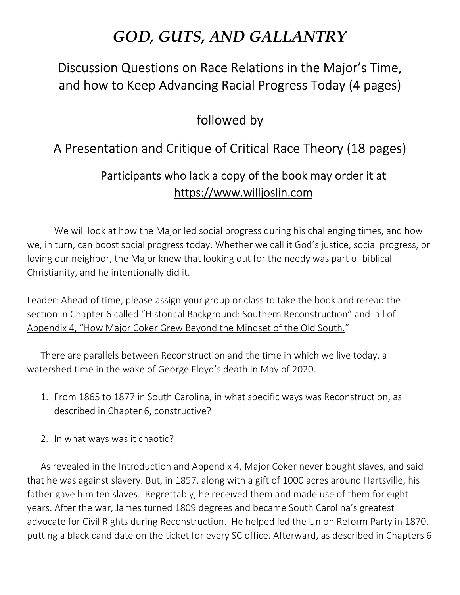# *GOD, GUTS, AND GALLANTRY*

## Discussion Questions on Race Relations in the Major's Time, and how to Keep Advancing Racial Progress Today (4 pages)

## followed by

## A Presentation and Critique of Critical Race Theory (18 pages)

## Participants who lack a copy of the book may order it at https://www.willjoslin.com

We will look at how the Major led social progress during his challenging times, and how we, in turn, can boost social progress today. Whether we call it God's justice, social progress, or loving our neighbor, the Major knew that looking out for the needy was part of biblical Christianity, and he intentionally did it.

Leader: Ahead of time, please assign your group or class to take the book and reread the section in Chapter 6 called "Historical Background: Southern Reconstruction" and all of Appendix 4, "How Major Coker Grew Beyond the Mindset of the Old South."

There are parallels between Reconstruction and the time in which we live today, a watershed time in the wake of George Floyd's death in May of 2020.

- 1. From 1865 to 1877 in South Carolina, in what specific ways was Reconstruction, as described in Chapter 6, constructive?
- 2. In what ways was it chaotic?

As revealed in the Introduction and Appendix 4, Major Coker never bought slaves, and said that he was against slavery. But, in 1857, along with a gift of 1000 acres around Hartsville, his father gave him ten slaves. Regrettably, he received them and made use of them for eight years. After the war, James turned 1809 degrees and became South Carolina's greatest advocate for Civil Rights during Reconstruction. He helped led the Union Reform Party in 1870, putting a black candidate on the ticket for every SC office. Afterward, as described in Chapters 6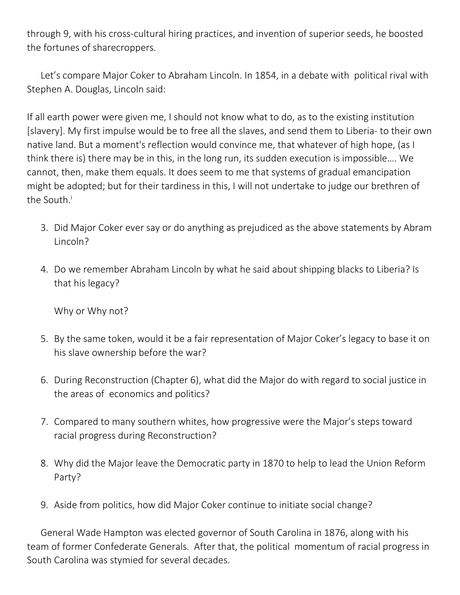through 9, with his cross-cultural hiring practices, and invention of superior seeds, he boosted the fortunes of sharecroppers.

Let's compare Major Coker to Abraham Lincoln. In 1854, in a debate with political rival with Stephen A. Douglas, Lincoln said:

If all earth power were given me, I should not know what to do, as to the existing institution [slavery]. My first impulse would be to free all the slaves, and send them to Liberia- to their own native land. But a moment's reflection would convince me, that whatever of high hope, (as I think there is) there may be in this, in the long run, its sudden execution is impossible…. We cannot, then, make them equals. It does seem to me that systems of gradual emancipation might be adopted; but for their tardiness in this, I will not undertake to judge our brethren of the South.<sup>i</sup>

- 3. Did Major Coker ever say or do anything as prejudiced as the above statements by Abram Lincoln?
- 4. Do we remember Abraham Lincoln by what he said about shipping blacks to Liberia? Is that his legacy?

Why or Why not?

- 5. By the same token, would it be a fair representation of Major Coker's legacy to base it on his slave ownership before the war?
- 6. During Reconstruction (Chapter 6), what did the Major do with regard to social justice in the areas of economics and politics?
- 7. Compared to many southern whites, how progressive were the Major's steps toward racial progress during Reconstruction?
- 8. Why did the Major leave the Democratic party in 1870 to help to lead the Union Reform Party?
- 9. Aside from politics, how did Major Coker continue to initiate social change?

General Wade Hampton was elected governor of South Carolina in 1876, along with his team of former Confederate Generals. After that, the political momentum of racial progress in South Carolina was stymied for several decades.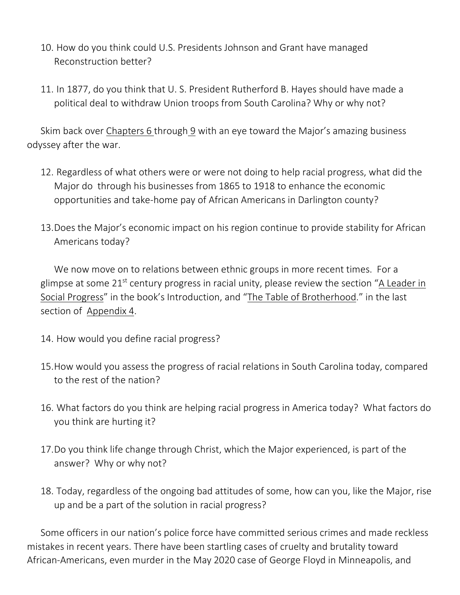- 10. How do you think could U.S. Presidents Johnson and Grant have managed Reconstruction better?
- 11. In 1877, do you think that U. S. President Rutherford B. Hayes should have made a political deal to withdraw Union troops from South Carolina? Why or why not?

Skim back over Chapters 6 through 9 with an eye toward the Major's amazing business odyssey after the war.

- 12. Regardless of what others were or were not doing to help racial progress, what did the Major do through his businesses from 1865 to 1918 to enhance the economic opportunities and take-home pay of African Americans in Darlington county?
- 13.Does the Major's economic impact on his region continue to provide stability for African Americans today?

We now move on to relations between ethnic groups in more recent times. For a glimpse at some  $21^{st}$  century progress in racial unity, please review the section "A Leader in Social Progress" in the book's Introduction, and "The Table of Brotherhood." in the last section of Appendix 4.

- 14. How would you define racial progress?
- 15.How would you assess the progress of racial relations in South Carolina today, compared to the rest of the nation?
- 16. What factors do you think are helping racial progress in America today? What factors do you think are hurting it?
- 17.Do you think life change through Christ, which the Major experienced, is part of the answer? Why or why not?
- 18. Today, regardless of the ongoing bad attitudes of some, how can you, like the Major, rise up and be a part of the solution in racial progress?

Some officers in our nation's police force have committed serious crimes and made reckless mistakes in recent years. There have been startling cases of cruelty and brutality toward African-Americans, even murder in the May 2020 case of George Floyd in Minneapolis, and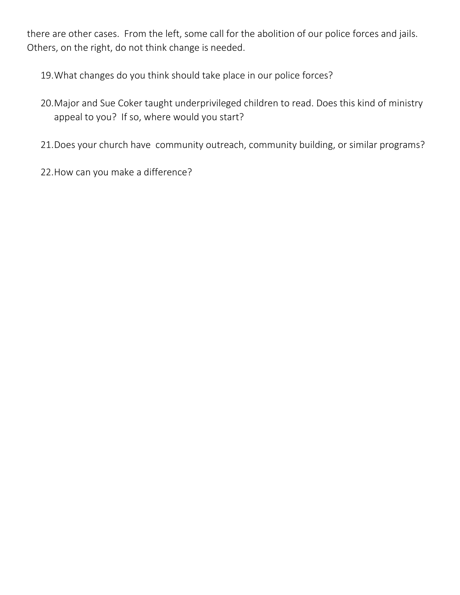there are other cases. From the left, some call for the abolition of our police forces and jails. Others, on the right, do not think change is needed.

19.What changes do you think should take place in our police forces?

- 20.Major and Sue Coker taught underprivileged children to read. Does this kind of ministry appeal to you? If so, where would you start?
- 21.Does your church have community outreach, community building, or similar programs?
- 22.How can you make a difference?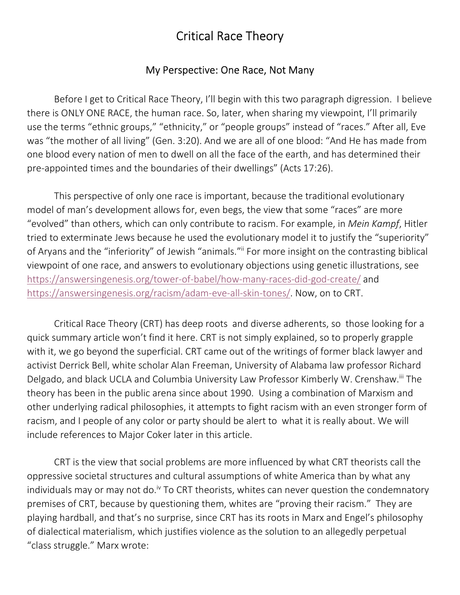## Critical Race Theory

### My Perspective: One Race, Not Many

 Before I get to Critical Race Theory, I'll begin with this two paragraph digression. I believe there is ONLY ONE RACE, the human race. So, later, when sharing my viewpoint, I'll primarily use the terms "ethnic groups," "ethnicity," or "people groups" instead of "races." After all, Eve was "the mother of all living" (Gen. 3:20). And we are all of one blood: "And He has made from one blood every nation of men to dwell on all the face of the earth, and has determined their pre-appointed times and the boundaries of their dwellings" (Acts 17:26).

This perspective of only one race is important, because the traditional evolutionary model of man's development allows for, even begs, the view that some "races" are more "evolved" than others, which can only contribute to racism. For example, in *Mein Kampf*, Hitler tried to exterminate Jews because he used the evolutionary model it to justify the "superiority" of Aryans and the "inferiority" of Jewish "animals."ii For more insight on the contrasting biblical viewpoint of one race, and answers to evolutionary objections using genetic illustrations, see https://answersingenesis.org/tower-of-babel/how-many-races-did-god-create/ and https://answersingenesis.org/racism/adam-eve-all-skin-tones/. Now, on to CRT.

 Critical Race Theory (CRT) has deep roots and diverse adherents, so those looking for a quick summary article won't find it here. CRT is not simply explained, so to properly grapple with it, we go beyond the superficial. CRT came out of the writings of former black lawyer and activist Derrick Bell, white scholar Alan Freeman, University of Alabama law professor Richard Delgado, and black UCLA and Columbia University Law Professor Kimberly W. Crenshaw.<sup>iii</sup> The theory has been in the public arena since about 1990. Using a combination of Marxism and other underlying radical philosophies, it attempts to fight racism with an even stronger form of racism, and I people of any color or party should be alert to what it is really about. We will include references to Major Coker later in this article.

 CRT is the view that social problems are more influenced by what CRT theorists call the oppressive societal structures and cultural assumptions of white America than by what any individuals may or may not do.<sup>iv</sup> To CRT theorists, whites can never question the condemnatory premises of CRT, because by questioning them, whites are "proving their racism." They are playing hardball, and that's no surprise, since CRT has its roots in Marx and Engel's philosophy of dialectical materialism, which justifies violence as the solution to an allegedly perpetual "class struggle." Marx wrote: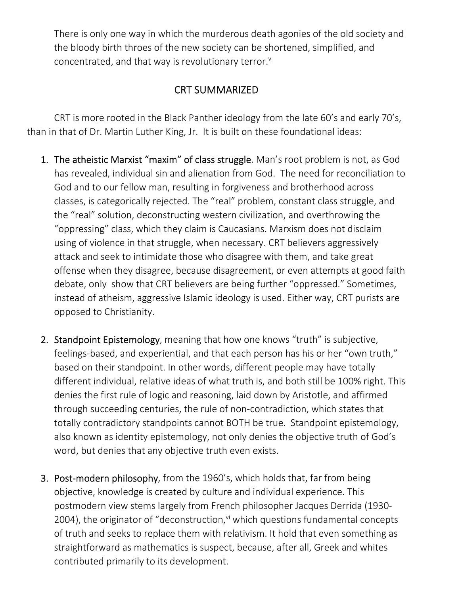There is only one way in which the murderous death agonies of the old society and the bloody birth throes of the new society can be shortened, simplified, and concentrated, and that way is revolutionary terror.<sup>v</sup>

## CRT SUMMARIZED

 CRT is more rooted in the Black Panther ideology from the late 60's and early 70's, than in that of Dr. Martin Luther King, Jr. It is built on these foundational ideas:

- 1. The atheistic Marxist "maxim" of class struggle. Man's root problem is not, as God has revealed, individual sin and alienation from God. The need for reconciliation to God and to our fellow man, resulting in forgiveness and brotherhood across classes, is categorically rejected. The "real" problem, constant class struggle, and the "real" solution, deconstructing western civilization, and overthrowing the "oppressing" class, which they claim is Caucasians. Marxism does not disclaim using of violence in that struggle, when necessary. CRT believers aggressively attack and seek to intimidate those who disagree with them, and take great offense when they disagree, because disagreement, or even attempts at good faith debate, only show that CRT believers are being further "oppressed." Sometimes, instead of atheism, aggressive Islamic ideology is used. Either way, CRT purists are opposed to Christianity.
- 2. Standpoint Epistemology, meaning that how one knows "truth" is subjective, feelings-based, and experiential, and that each person has his or her "own truth," based on their standpoint. In other words, different people may have totally different individual, relative ideas of what truth is, and both still be 100% right. This denies the first rule of logic and reasoning, laid down by Aristotle, and affirmed through succeeding centuries, the rule of non-contradiction, which states that totally contradictory standpoints cannot BOTH be true. Standpoint epistemology, also known as identity epistemology, not only denies the objective truth of God's word, but denies that any objective truth even exists.
- **3. Post-modern philosophy**, from the 1960's, which holds that, far from being objective, knowledge is created by culture and individual experience. This postmodern view stems largely from French philosopher Jacques Derrida (1930- 2004), the originator of "deconstruction, $v<sup>i</sup>$  which questions fundamental concepts of truth and seeks to replace them with relativism. It hold that even something as straightforward as mathematics is suspect, because, after all, Greek and whites contributed primarily to its development.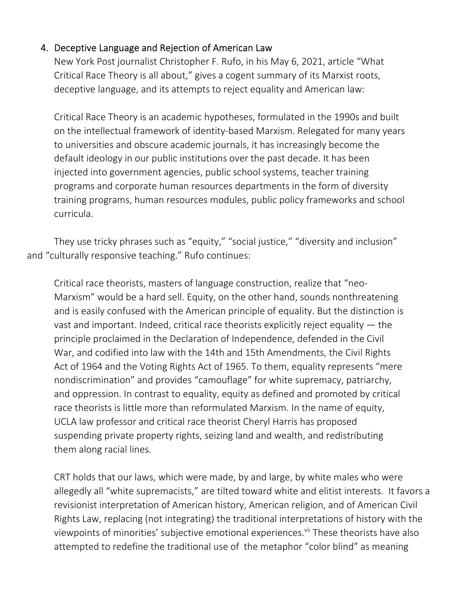### 4. Deceptive Language and Rejection of American Law

New York Post journalist Christopher F. Rufo, in his May 6, 2021, article "What Critical Race Theory is all about," gives a cogent summary of its Marxist roots, deceptive language, and its attempts to reject equality and American law:

Critical Race Theory is an academic hypotheses, formulated in the 1990s and built on the intellectual framework of identity-based Marxism. Relegated for many years to universities and obscure academic journals, it has increasingly become the default ideology in our public institutions over the past decade. It has been injected into government agencies, public school systems, teacher training programs and corporate human resources departments in the form of diversity training programs, human resources modules, public policy frameworks and school curricula.

They use tricky phrases such as "equity," "social justice," "diversity and inclusion" and "culturally responsive teaching." Rufo continues:

Critical race theorists, masters of language construction, realize that "neo-Marxism" would be a hard sell. Equity, on the other hand, sounds nonthreatening and is easily confused with the American principle of equality. But the distinction is vast and important. Indeed, critical race theorists explicitly reject equality  $-$  the principle proclaimed in the Declaration of Independence, defended in the Civil War, and codified into law with the 14th and 15th Amendments, the Civil Rights Act of 1964 and the Voting Rights Act of 1965. To them, equality represents "mere nondiscrimination" and provides "camouflage" for white supremacy, patriarchy, and oppression. In contrast to equality, equity as defined and promoted by critical race theorists is little more than reformulated Marxism. In the name of equity, UCLA law professor and critical race theorist Cheryl Harris has proposed suspending private property rights, seizing land and wealth, and redistributing them along racial lines.

CRT holds that our laws, which were made, by and large, by white males who were allegedly all "white supremacists," are tilted toward white and elitist interests. It favors a revisionist interpretation of American history, American religion, and of American Civil Rights Law, replacing (not integrating) the traditional interpretations of history with the viewpoints of minorities' subjective emotional experiences.<sup>vii</sup> These theorists have also attempted to redefine the traditional use of the metaphor "color blind" as meaning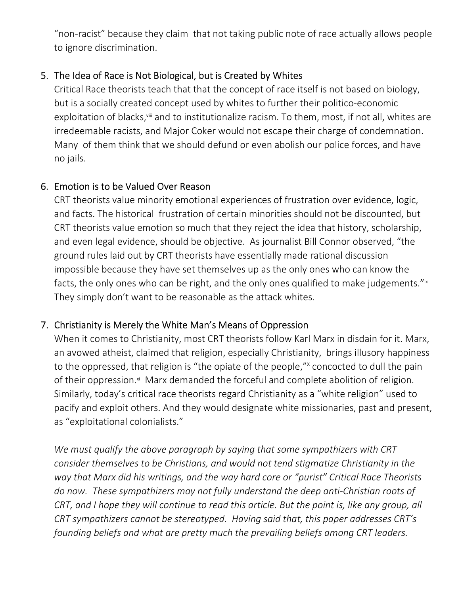"non-racist" because they claim that not taking public note of race actually allows people to ignore discrimination.

### 5. The Idea of Race is Not Biological, but is Created by Whites

Critical Race theorists teach that that the concept of race itself is not based on biology, but is a socially created concept used by whites to further their politico-economic exploitation of blacks, viii and to institutionalize racism. To them, most, if not all, whites are irredeemable racists, and Major Coker would not escape their charge of condemnation. Many of them think that we should defund or even abolish our police forces, and have no jails.

#### 6. Emotion is to be Valued Over Reason

CRT theorists value minority emotional experiences of frustration over evidence, logic, and facts. The historical frustration of certain minorities should not be discounted, but CRT theorists value emotion so much that they reject the idea that history, scholarship, and even legal evidence, should be objective. As journalist Bill Connor observed, "the ground rules laid out by CRT theorists have essentially made rational discussion impossible because they have set themselves up as the only ones who can know the facts, the only ones who can be right, and the only ones qualified to make judgements."<sup>\*</sup> They simply don't want to be reasonable as the attack whites.

## 7. Christianity is Merely the White Man's Means of Oppression

When it comes to Christianity, most CRT theorists follow Karl Marx in disdain for it. Marx, an avowed atheist, claimed that religion, especially Christianity, brings illusory happiness to the oppressed, that religion is "the opiate of the people,"<sup>x</sup> concocted to dull the pain of their oppression.<sup>xi</sup> Marx demanded the forceful and complete abolition of religion. Similarly, today's critical race theorists regard Christianity as a "white religion" used to pacify and exploit others. And they would designate white missionaries, past and present, as "exploitational colonialists."

*We must qualify the above paragraph by saying that some sympathizers with CRT consider themselves to be Christians, and would not tend stigmatize Christianity in the way that Marx did his writings, and the way hard core or "purist" Critical Race Theorists do now. These sympathizers may not fully understand the deep anti-Christian roots of CRT, and I hope they will continue to read this article. But the point is, like any group, all CRT sympathizers cannot be stereotyped. Having said that, this paper addresses CRT's founding beliefs and what are pretty much the prevailing beliefs among CRT leaders.*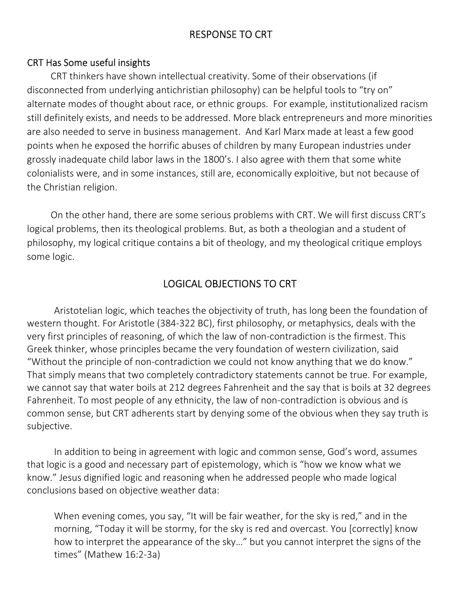## RESPONSE TO CRT

#### CRT Has Some useful insights

CRT thinkers have shown intellectual creativity. Some of their observations (if disconnected from underlying antichristian philosophy) can be helpful tools to "try on" alternate modes of thought about race, or ethnic groups. For example, institutionalized racism still definitely exists, and needs to be addressed. More black entrepreneurs and more minorities are also needed to serve in business management. And Karl Marx made at least a few good points when he exposed the horrific abuses of children by many European industries under grossly inadequate child labor laws in the 1800's. I also agree with them that some white colonialists were, and in some instances, still are, economically exploitive, but not because of the Christian religion.

On the other hand, there are some serious problems with CRT. We will first discuss CRT's logical problems, then its theological problems. But, as both a theologian and a student of philosophy, my logical critique contains a bit of theology, and my theological critique employs some logic.

## LOGICAL OBJECTIONS TO CRT

Aristotelian logic, which teaches the objectivity of truth, has long been the foundation of western thought. For Aristotle (384-322 BC), first philosophy, or metaphysics, deals with the very first principles of reasoning, of which the law of non-contradiction is the firmest. This Greek thinker, whose principles became the very foundation of western civilization, said "Without the principle of non-contradiction we could not know anything that we do know." That simply means that two completely contradictory statements cannot be true. For example, we cannot say that water boils at 212 degrees Fahrenheit and the say that is boils at 32 degrees Fahrenheit. To most people of any ethnicity, the law of non-contradiction is obvious and is common sense, but CRT adherents start by denying some of the obvious when they say truth is subjective.

In addition to being in agreement with logic and common sense, God's word, assumes that logic is a good and necessary part of epistemology, which is "how we know what we know." Jesus dignified logic and reasoning when he addressed people who made logical conclusions based on objective weather data:

When evening comes, you say, "It will be fair weather, for the sky is red," and in the morning, "Today it will be stormy, for the sky is red and overcast. You [correctly] know how to interpret the appearance of the sky…" but you cannot interpret the signs of the times" (Mathew 16:2-3a)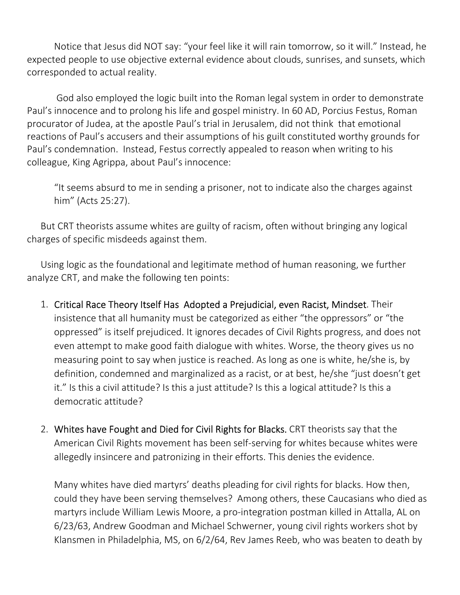Notice that Jesus did NOT say: "your feel like it will rain tomorrow, so it will." Instead, he expected people to use objective external evidence about clouds, sunrises, and sunsets, which corresponded to actual reality.

 God also employed the logic built into the Roman legal system in order to demonstrate Paul's innocence and to prolong his life and gospel ministry. In 60 AD, Porcius Festus, Roman procurator of Judea, at the apostle Paul's trial in Jerusalem, did not think that emotional reactions of Paul's accusers and their assumptions of his guilt constituted worthy grounds for Paul's condemnation. Instead, Festus correctly appealed to reason when writing to his colleague, King Agrippa, about Paul's innocence:

"It seems absurd to me in sending a prisoner, not to indicate also the charges against him" (Acts 25:27).

But CRT theorists assume whites are guilty of racism, often without bringing any logical charges of specific misdeeds against them.

Using logic as the foundational and legitimate method of human reasoning, we further analyze CRT, and make the following ten points:

- 1. Critical Race Theory Itself Has Adopted a Prejudicial, even Racist, Mindset. Their insistence that all humanity must be categorized as either "the oppressors" or "the oppressed" is itself prejudiced. It ignores decades of Civil Rights progress, and does not even attempt to make good faith dialogue with whites. Worse, the theory gives us no measuring point to say when justice is reached. As long as one is white, he/she is, by definition, condemned and marginalized as a racist, or at best, he/she "just doesn't get it." Is this a civil attitude? Is this a just attitude? Is this a logical attitude? Is this a democratic attitude?
- 2. Whites have Fought and Died for Civil Rights for Blacks. CRT theorists say that the American Civil Rights movement has been self-serving for whites because whites were allegedly insincere and patronizing in their efforts. This denies the evidence.

Many whites have died martyrs' deaths pleading for civil rights for blacks. How then, could they have been serving themselves? Among others, these Caucasians who died as martyrs include William Lewis Moore, a pro-integration postman killed in Attalla, AL on 6/23/63, Andrew Goodman and Michael Schwerner, young civil rights workers shot by Klansmen in Philadelphia, MS, on 6/2/64, Rev James Reeb, who was beaten to death by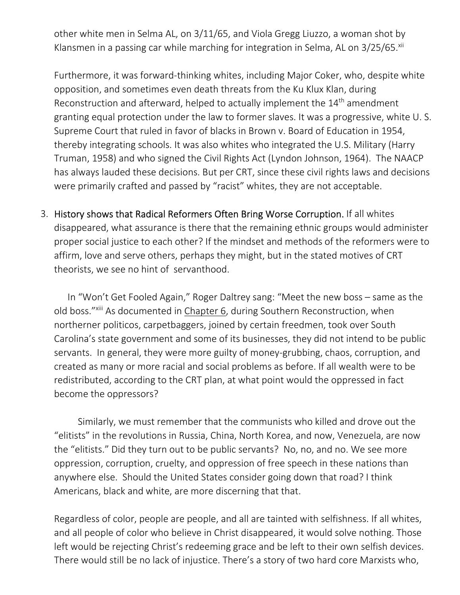other white men in Selma AL, on 3/11/65, and Viola Gregg Liuzzo, a woman shot by Klansmen in a passing car while marching for integration in Selma, AL on 3/25/65.<sup>xii</sup>

Furthermore, it was forward-thinking whites, including Major Coker, who, despite white opposition, and sometimes even death threats from the Ku Klux Klan, during Reconstruction and afterward, helped to actually implement the 14<sup>th</sup> amendment granting equal protection under the law to former slaves. It was a progressive, white U. S. Supreme Court that ruled in favor of blacks in Brown v. Board of Education in 1954, thereby integrating schools. It was also whites who integrated the U.S. Military (Harry Truman, 1958) and who signed the Civil Rights Act (Lyndon Johnson, 1964). The NAACP has always lauded these decisions. But per CRT, since these civil rights laws and decisions were primarily crafted and passed by "racist" whites, they are not acceptable.

3. History shows that Radical Reformers Often Bring Worse Corruption. If all whites disappeared, what assurance is there that the remaining ethnic groups would administer proper social justice to each other? If the mindset and methods of the reformers were to affirm, love and serve others, perhaps they might, but in the stated motives of CRT theorists, we see no hint of servanthood.

In "Won't Get Fooled Again," Roger Daltrey sang: "Meet the new boss – same as the old boss."xiii As documented in Chapter 6, during Southern Reconstruction, when northerner politicos, carpetbaggers, joined by certain freedmen, took over South Carolina's state government and some of its businesses, they did not intend to be public servants. In general, they were more guilty of money-grubbing, chaos, corruption, and created as many or more racial and social problems as before. If all wealth were to be redistributed, according to the CRT plan, at what point would the oppressed in fact become the oppressors?

Similarly, we must remember that the communists who killed and drove out the "elitists" in the revolutions in Russia, China, North Korea, and now, Venezuela, are now the "elitists." Did they turn out to be public servants? No, no, and no. We see more oppression, corruption, cruelty, and oppression of free speech in these nations than anywhere else. Should the United States consider going down that road? I think Americans, black and white, are more discerning that that.

Regardless of color, people are people, and all are tainted with selfishness. If all whites, and all people of color who believe in Christ disappeared, it would solve nothing. Those left would be rejecting Christ's redeeming grace and be left to their own selfish devices. There would still be no lack of injustice. There's a story of two hard core Marxists who,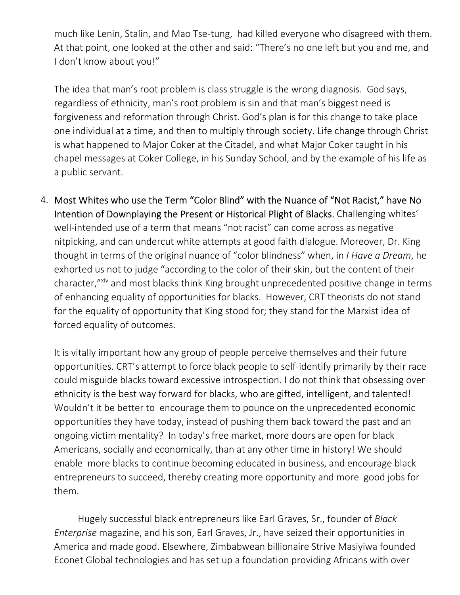much like Lenin, Stalin, and Mao Tse-tung, had killed everyone who disagreed with them. At that point, one looked at the other and said: "There's no one left but you and me, and I don't know about you!"

The idea that man's root problem is class struggle is the wrong diagnosis. God says, regardless of ethnicity, man's root problem is sin and that man's biggest need is forgiveness and reformation through Christ. God's plan is for this change to take place one individual at a time, and then to multiply through society. Life change through Christ is what happened to Major Coker at the Citadel, and what Major Coker taught in his chapel messages at Coker College, in his Sunday School, and by the example of his life as a public servant.

4. Most Whites who use the Term "Color Blind" with the Nuance of "Not Racist," have No Intention of Downplaying the Present or Historical Plight of Blacks. Challenging whites' well-intended use of a term that means "not racist" can come across as negative nitpicking, and can undercut white attempts at good faith dialogue. Moreover, Dr. King thought in terms of the original nuance of "color blindness" when, in *I Have a Dream*, he exhorted us not to judge "according to the color of their skin, but the content of their character,"<sup>xiv</sup> and most blacks think King brought unprecedented positive change in terms of enhancing equality of opportunities for blacks. However, CRT theorists do not stand for the equality of opportunity that King stood for; they stand for the Marxist idea of forced equality of outcomes.

It is vitally important how any group of people perceive themselves and their future opportunities. CRT's attempt to force black people to self-identify primarily by their race could misguide blacks toward excessive introspection. I do not think that obsessing over ethnicity is the best way forward for blacks, who are gifted, intelligent, and talented! Wouldn't it be better to encourage them to pounce on the unprecedented economic opportunities they have today, instead of pushing them back toward the past and an ongoing victim mentality? In today's free market, more doors are open for black Americans, socially and economically, than at any other time in history! We should enable more blacks to continue becoming educated in business, and encourage black entrepreneurs to succeed, thereby creating more opportunity and more good jobs for them.

Hugely successful black entrepreneurs like Earl Graves, Sr., founder of *Black Enterprise* magazine, and his son, Earl Graves, Jr., have seized their opportunities in America and made good. Elsewhere, Zimbabwean billionaire Strive Masiyiwa founded Econet Global technologies and has set up a foundation providing Africans with over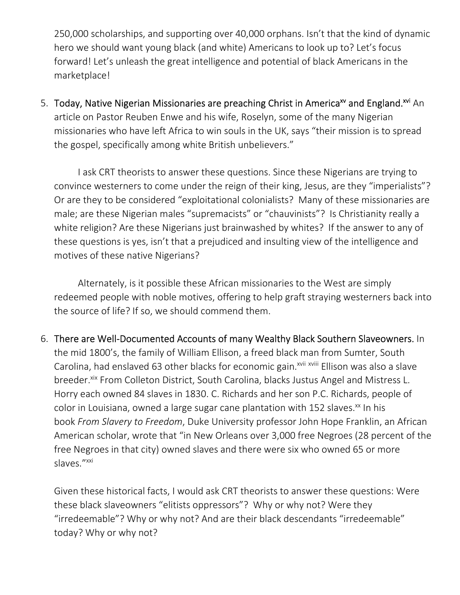250,000 scholarships, and supporting over 40,000 orphans. Isn't that the kind of dynamic hero we should want young black (and white) Americans to look up to? Let's focus forward! Let's unleash the great intelligence and potential of black Americans in the marketplace!

5. Today, Native Nigerian Missionaries are preaching Christ in America<sup>xv</sup> and England.<sup>xvi</sup> An article on Pastor Reuben Enwe and his wife, Roselyn, some of the many Nigerian missionaries who have left Africa to win souls in the UK, says "their mission is to spread the gospel, specifically among white British unbelievers."

I ask CRT theorists to answer these questions. Since these Nigerians are trying to convince westerners to come under the reign of their king, Jesus, are they "imperialists"? Or are they to be considered "exploitational colonialists? Many of these missionaries are male; are these Nigerian males "supremacists" or "chauvinists"? Is Christianity really a white religion? Are these Nigerians just brainwashed by whites? If the answer to any of these questions is yes, isn't that a prejudiced and insulting view of the intelligence and motives of these native Nigerians?

Alternately, is it possible these African missionaries to the West are simply redeemed people with noble motives, offering to help graft straying westerners back into the source of life? If so, we should commend them.

6. There are Well-Documented Accounts of many Wealthy Black Southern Slaveowners. In the mid 1800's, the family of William Ellison, a freed black man from Sumter, South Carolina, had enslaved 63 other blacks for economic gain.<sup>xvii xviii</sup> Ellison was also a slave breeder.<sup>xix</sup> From Colleton District, South Carolina, blacks Justus Angel and Mistress L. Horry each owned 84 slaves in 1830. C. Richards and her son P.C. Richards, people of color in Louisiana, owned a large sugar cane plantation with 152 slaves.<sup>xx</sup> In his book *From Slavery to Freedom*, Duke University professor John Hope Franklin, an African American scholar, wrote that "in New Orleans over 3,000 free Negroes (28 percent of the free Negroes in that city) owned slaves and there were six who owned 65 or more slaves."<sup>xxi</sup>

Given these historical facts, I would ask CRT theorists to answer these questions: Were these black slaveowners "elitists oppressors"? Why or why not? Were they "irredeemable"? Why or why not? And are their black descendants "irredeemable" today? Why or why not?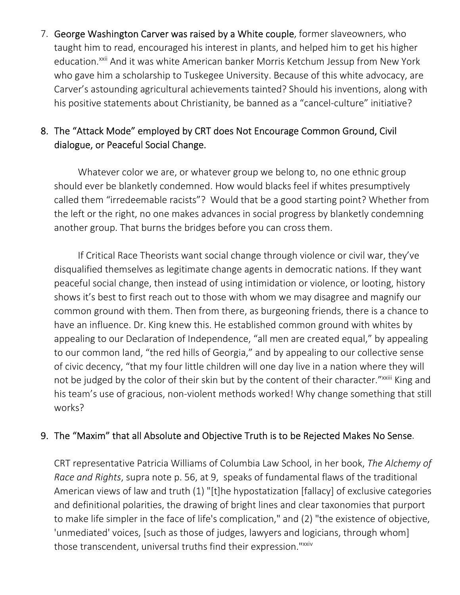7. George Washington Carver was raised by a White couple, former slaveowners, who taught him to read, encouraged his interest in plants, and helped him to get his higher education.<sup>xxii</sup> And it was white American banker Morris Ketchum Jessup from New York who gave him a scholarship to Tuskegee University. Because of this white advocacy, are Carver's astounding agricultural achievements tainted? Should his inventions, along with his positive statements about Christianity, be banned as a "cancel-culture" initiative?

## 8. The "Attack Mode" employed by CRT does Not Encourage Common Ground, Civil dialogue, or Peaceful Social Change.

Whatever color we are, or whatever group we belong to, no one ethnic group should ever be blanketly condemned. How would blacks feel if whites presumptively called them "irredeemable racists"? Would that be a good starting point? Whether from the left or the right, no one makes advances in social progress by blanketly condemning another group. That burns the bridges before you can cross them.

If Critical Race Theorists want social change through violence or civil war, they've disqualified themselves as legitimate change agents in democratic nations. If they want peaceful social change, then instead of using intimidation or violence, or looting, history shows it's best to first reach out to those with whom we may disagree and magnify our common ground with them. Then from there, as burgeoning friends, there is a chance to have an influence. Dr. King knew this. He established common ground with whites by appealing to our Declaration of Independence, "all men are created equal," by appealing to our common land, "the red hills of Georgia," and by appealing to our collective sense of civic decency, "that my four little children will one day live in a nation where they will not be judged by the color of their skin but by the content of their character." xxiii King and his team's use of gracious, non-violent methods worked! Why change something that still works?

#### 9. The "Maxim" that all Absolute and Objective Truth is to be Rejected Makes No Sense.

CRT representative Patricia Williams of Columbia Law School, in her book, *The Alchemy of Race and Rights*, supra note p. 56, at 9, speaks of fundamental flaws of the traditional American views of law and truth (1) "[t]he hypostatization [fallacy] of exclusive categories and definitional polarities, the drawing of bright lines and clear taxonomies that purport to make life simpler in the face of life's complication," and (2) "the existence of objective, 'unmediated' voices, [such as those of judges, lawyers and logicians, through whom] those transcendent, universal truths find their expression."xxiv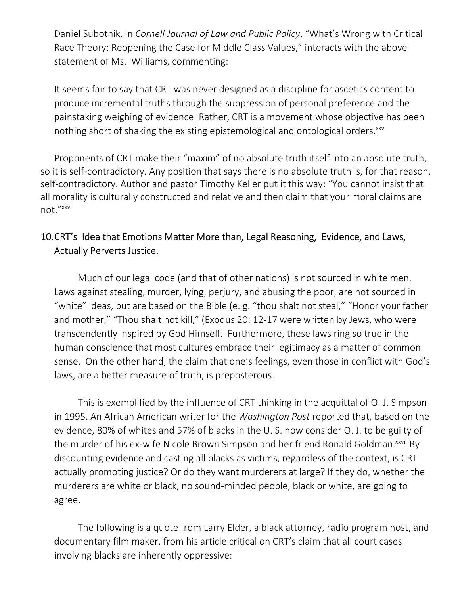Daniel Subotnik, in *Cornell Journal of Law and Public Policy*, "What's Wrong with Critical Race Theory: Reopening the Case for Middle Class Values," interacts with the above statement of Ms. Williams, commenting:

It seems fair to say that CRT was never designed as a discipline for ascetics content to produce incremental truths through the suppression of personal preference and the painstaking weighing of evidence. Rather, CRT is a movement whose objective has been nothing short of shaking the existing epistemological and ontological orders.<sup>xxv</sup>

Proponents of CRT make their "maxim" of no absolute truth itself into an absolute truth, so it is self-contradictory. Any position that says there is no absolute truth is, for that reason, self-contradictory. Author and pastor Timothy Keller put it this way: "You cannot insist that all morality is culturally constructed and relative and then claim that your moral claims are not."xxvi

## 10.CRT's Idea that Emotions Matter More than, Legal Reasoning, Evidence, and Laws, Actually Perverts Justice.

Much of our legal code (and that of other nations) is not sourced in white men. Laws against stealing, murder, lying, perjury, and abusing the poor, are not sourced in "white" ideas, but are based on the Bible (e. g. "thou shalt not steal," "Honor your father and mother," "Thou shalt not kill," (Exodus 20: 12-17 were written by Jews, who were transcendently inspired by God Himself. Furthermore, these laws ring so true in the human conscience that most cultures embrace their legitimacy as a matter of common sense. On the other hand, the claim that one's feelings, even those in conflict with God's laws, are a better measure of truth, is preposterous.

This is exemplified by the influence of CRT thinking in the acquittal of O. J. Simpson in 1995. An African American writer for the *Washington Post* reported that, based on the evidence, 80% of whites and 57% of blacks in the U. S. now consider O. J. to be guilty of the murder of his ex-wife Nicole Brown Simpson and her friend Ronald Goldman.<sup>xxvii</sup> By discounting evidence and casting all blacks as victims, regardless of the context, is CRT actually promoting justice? Or do they want murderers at large? If they do, whether the murderers are white or black, no sound-minded people, black or white, are going to agree.

The following is a quote from Larry Elder, a black attorney, radio program host, and documentary film maker, from his article critical on CRT's claim that all court cases involving blacks are inherently oppressive: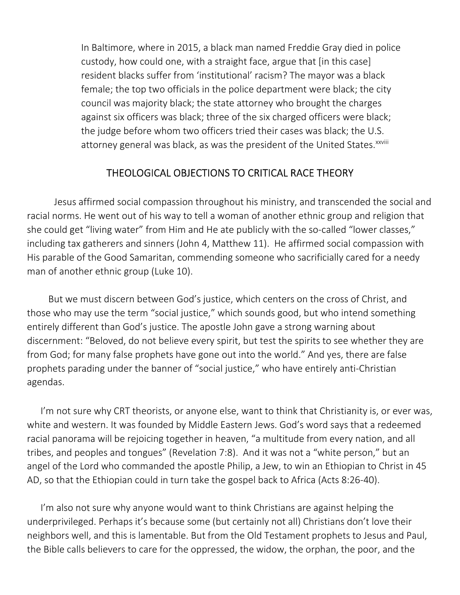In Baltimore, where in 2015, a black man named Freddie Gray died in police custody, how could one, with a straight face, argue that [in this case] resident blacks suffer from 'institutional' racism? The mayor was a black female; the top two officials in the police department were black; the city council was majority black; the state attorney who brought the charges against six officers was black; three of the six charged officers were black; the judge before whom two officers tried their cases was black; the U.S. attorney general was black, as was the president of the United States.<sup>xxviii</sup>

## THEOLOGICAL OBJECTIONS TO CRITICAL RACE THEORY

Jesus affirmed social compassion throughout his ministry, and transcended the social and racial norms. He went out of his way to tell a woman of another ethnic group and religion that she could get "living water" from Him and He ate publicly with the so-called "lower classes," including tax gatherers and sinners (John 4, Matthew 11). He affirmed social compassion with His parable of the Good Samaritan, commending someone who sacrificially cared for a needy man of another ethnic group (Luke 10).

 But we must discern between God's justice, which centers on the cross of Christ, and those who may use the term "social justice," which sounds good, but who intend something entirely different than God's justice. The apostle John gave a strong warning about discernment: "Beloved, do not believe every spirit, but test the spirits to see whether they are from God; for many false prophets have gone out into the world." And yes, there are false prophets parading under the banner of "social justice," who have entirely anti-Christian agendas.

I'm not sure why CRT theorists, or anyone else, want to think that Christianity is, or ever was, white and western. It was founded by Middle Eastern Jews. God's word says that a redeemed racial panorama will be rejoicing together in heaven, "a multitude from every nation, and all tribes, and peoples and tongues" (Revelation 7:8). And it was not a "white person," but an angel of the Lord who commanded the apostle Philip, a Jew, to win an Ethiopian to Christ in 45 AD, so that the Ethiopian could in turn take the gospel back to Africa (Acts 8:26-40).

I'm also not sure why anyone would want to think Christians are against helping the underprivileged. Perhaps it's because some (but certainly not all) Christians don't love their neighbors well, and this is lamentable. But from the Old Testament prophets to Jesus and Paul, the Bible calls believers to care for the oppressed, the widow, the orphan, the poor, and the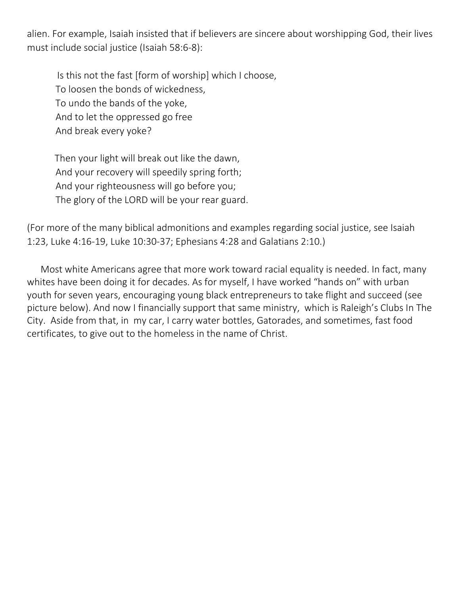alien. For example, Isaiah insisted that if believers are sincere about worshipping God, their lives must include social justice (Isaiah 58:6-8):

 Is this not the fast [form of worship] which I choose, To loosen the bonds of wickedness, To undo the bands of the yoke, And to let the oppressed go free And break every yoke?

 Then your light will break out like the dawn, And your recovery will speedily spring forth; And your righteousness will go before you; The glory of the LORD will be your rear guard.

(For more of the many biblical admonitions and examples regarding social justice, see Isaiah 1:23, Luke 4:16-19, Luke 10:30-37; Ephesians 4:28 and Galatians 2:10.)

Most white Americans agree that more work toward racial equality is needed. In fact, many whites have been doing it for decades. As for myself, I have worked "hands on" with urban youth for seven years, encouraging young black entrepreneurs to take flight and succeed (see picture below). And now I financially support that same ministry, which is Raleigh's Clubs In The City. Aside from that, in my car, I carry water bottles, Gatorades, and sometimes, fast food certificates, to give out to the homeless in the name of Christ.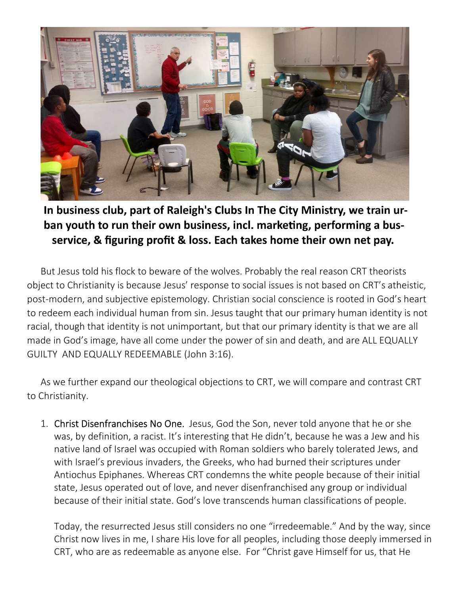

In business club, part of Raleigh's Clubs In The City Ministry, we train urban youth to run their own business, incl. marketing, performing a busservice, & figuring profit & loss. Each takes home their own net pay.

But Jesus told his flock to beware of the wolves. Probably the real reason CRT theorists object to Christianity is because Jesus' response to social issues is not based on CRT's atheistic, post-modern, and subjective epistemology. Christian social conscience is rooted in God's heart to redeem each individual human from sin. Jesus taught that our primary human identity is not racial, though that identity is not unimportant, but that our primary identity is that we are all made in God's image, have all come under the power of sin and death, and are ALL EQUALLY GUILTY AND EQUALLY REDEEMABLE (John 3:16).

As we further expand our theological objections to CRT, we will compare and contrast CRT to Christianity.

1. Christ Disenfranchises No One. Jesus, God the Son, never told anyone that he or she was, by definition, a racist. It's interesting that He didn't, because he was a Jew and his native land of Israel was occupied with Roman soldiers who barely tolerated Jews, and with Israel's previous invaders, the Greeks, who had burned their scriptures under Antiochus Epiphanes. Whereas CRT condemns the white people because of their initial state, Jesus operated out of love, and never disenfranchised any group or individual because of their initial state. God's love transcends human classifications of people.

Today, the resurrected Jesus still considers no one "irredeemable." And by the way, since Christ now lives in me, I share His love for all peoples, including those deeply immersed in CRT, who are as redeemable as anyone else. For "Christ gave Himself for us, that He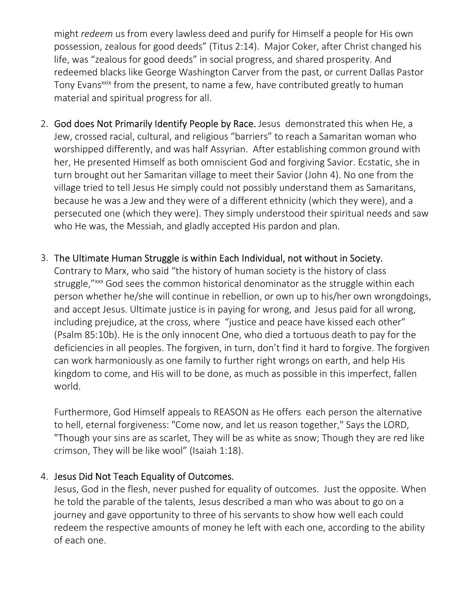might *redeem* us from every lawless deed and purify for Himself a people for His own possession, zealous for good deeds" (Titus 2:14). Major Coker, after Christ changed his life, was "zealous for good deeds" in social progress, and shared prosperity. And redeemed blacks like George Washington Carver from the past, or current Dallas Pastor Tony Evans<sup>xxix</sup> from the present, to name a few, have contributed greatly to human material and spiritual progress for all.

- 2. God does Not Primarily Identify People by Race. Jesus demonstrated this when He, a Jew, crossed racial, cultural, and religious "barriers" to reach a Samaritan woman who worshipped differently, and was half Assyrian. After establishing common ground with her, He presented Himself as both omniscient God and forgiving Savior. Ecstatic, she in turn brought out her Samaritan village to meet their Savior (John 4). No one from the village tried to tell Jesus He simply could not possibly understand them as Samaritans, because he was a Jew and they were of a different ethnicity (which they were), and a persecuted one (which they were). They simply understood their spiritual needs and saw who He was, the Messiah, and gladly accepted His pardon and plan.
- 3. The Ultimate Human Struggle is within Each Individual, not without in Society.

Contrary to Marx, who said "the history of human society is the history of class struggle,"<sup>xxx</sup> God sees the common historical denominator as the struggle within each person whether he/she will continue in rebellion, or own up to his/her own wrongdoings, and accept Jesus. Ultimate justice is in paying for wrong, and Jesus paid for all wrong, including prejudice, at the cross, where "justice and peace have kissed each other" (Psalm 85:10b). He is the only innocent One, who died a tortuous death to pay for the deficiencies in all peoples. The forgiven, in turn, don't find it hard to forgive. The forgiven can work harmoniously as one family to further right wrongs on earth, and help His kingdom to come, and His will to be done, as much as possible in this imperfect, fallen world.

Furthermore, God Himself appeals to REASON as He offers each person the alternative to hell, eternal forgiveness: "Come now, and let us reason together," Says the LORD, "Though your sins are as scarlet, They will be as white as snow; Though they are red like crimson, They will be like wool" (Isaiah 1:18).

#### 4. Jesus Did Not Teach Equality of Outcomes.

Jesus, God in the flesh, never pushed for equality of outcomes. Just the opposite. When he told the parable of the talents, Jesus described a man who was about to go on a journey and gave opportunity to three of his servants to show how well each could redeem the respective amounts of money he left with each one, according to the ability of each one.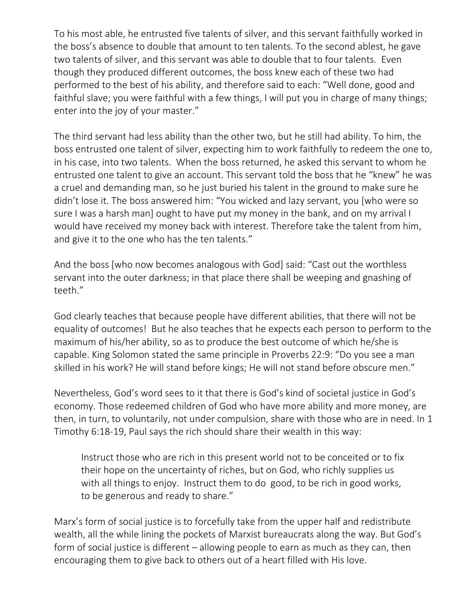To his most able, he entrusted five talents of silver, and this servant faithfully worked in the boss's absence to double that amount to ten talents. To the second ablest, he gave two talents of silver, and this servant was able to double that to four talents. Even though they produced different outcomes, the boss knew each of these two had performed to the best of his ability, and therefore said to each: "Well done, good and faithful slave; you were faithful with a few things, I will put you in charge of many things; enter into the joy of your master."

The third servant had less ability than the other two, but he still had ability. To him, the boss entrusted one talent of silver, expecting him to work faithfully to redeem the one to, in his case, into two talents. When the boss returned, he asked this servant to whom he entrusted one talent to give an account. This servant told the boss that he "knew" he was a cruel and demanding man, so he just buried his talent in the ground to make sure he didn't lose it. The boss answered him: "You wicked and lazy servant, you [who were so sure I was a harsh man] ought to have put my money in the bank, and on my arrival I would have received my money back with interest. Therefore take the talent from him, and give it to the one who has the ten talents."

And the boss [who now becomes analogous with God] said: "Cast out the worthless servant into the outer darkness; in that place there shall be weeping and gnashing of teeth."

God clearly teaches that because people have different abilities, that there will not be equality of outcomes! But he also teaches that he expects each person to perform to the maximum of his/her ability, so as to produce the best outcome of which he/she is capable. King Solomon stated the same principle in Proverbs 22:9: "Do you see a man skilled in his work? He will stand before kings; He will not stand before obscure men."

Nevertheless, God's word sees to it that there is God's kind of societal justice in God's economy. Those redeemed children of God who have more ability and more money, are then, in turn, to voluntarily, not under compulsion, share with those who are in need. In 1 Timothy 6:18-19, Paul says the rich should share their wealth in this way:

Instruct those who are rich in this present world not to be conceited or to fix their hope on the uncertainty of riches, but on God, who richly supplies us with all things to enjoy. Instruct them to do good, to be rich in good works, to be generous and ready to share."

Marx's form of social justice is to forcefully take from the upper half and redistribute wealth, all the while lining the pockets of Marxist bureaucrats along the way. But God's form of social justice is different – allowing people to earn as much as they can, then encouraging them to give back to others out of a heart filled with His love.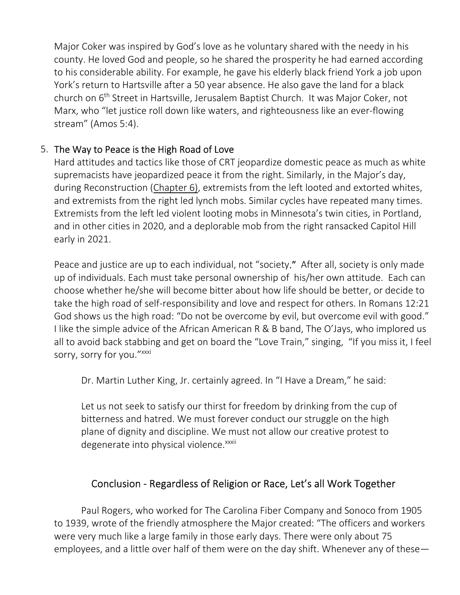Major Coker was inspired by God's love as he voluntary shared with the needy in his county. He loved God and people, so he shared the prosperity he had earned according to his considerable ability. For example, he gave his elderly black friend York a job upon York's return to Hartsville after a 50 year absence. He also gave the land for a black church on 6th Street in Hartsville, Jerusalem Baptist Church. It was Major Coker, not Marx, who "let justice roll down like waters, and righteousness like an ever-flowing stream" (Amos 5:4).

## 5. The Way to Peace is the High Road of Love

Hard attitudes and tactics like those of CRT jeopardize domestic peace as much as white supremacists have jeopardized peace it from the right. Similarly, in the Major's day, during Reconstruction (Chapter 6), extremists from the left looted and extorted whites, and extremists from the right led lynch mobs. Similar cycles have repeated many times. Extremists from the left led violent looting mobs in Minnesota's twin cities, in Portland, and in other cities in 2020, and a deplorable mob from the right ransacked Capitol Hill early in 2021.

Peace and justice are up to each individual, not "society." After all, society is only made up of individuals. Each must take personal ownership of his/her own attitude. Each can choose whether he/she will become bitter about how life should be better, or decide to take the high road of self-responsibility and love and respect for others. In Romans 12:21 God shows us the high road: "Do not be overcome by evil, but overcome evil with good." I like the simple advice of the African American R & B band, The O'Jays, who implored us all to avoid back stabbing and get on board the "Love Train," singing, "If you miss it, I feel sorry, sorry for you." xxxi

Dr. Martin Luther King, Jr. certainly agreed. In "I Have a Dream," he said:

Let us not seek to satisfy our thirst for freedom by drinking from the cup of bitterness and hatred. We must forever conduct our struggle on the high plane of dignity and discipline. We must not allow our creative protest to degenerate into physical violence.<sup>xxxii</sup>

## Conclusion - Regardless of Religion or Race, Let's all Work Together

Paul Rogers, who worked for The Carolina Fiber Company and Sonoco from 1905 to 1939, wrote of the friendly atmosphere the Major created: "The officers and workers were very much like a large family in those early days. There were only about 75 employees, and a little over half of them were on the day shift. Whenever any of these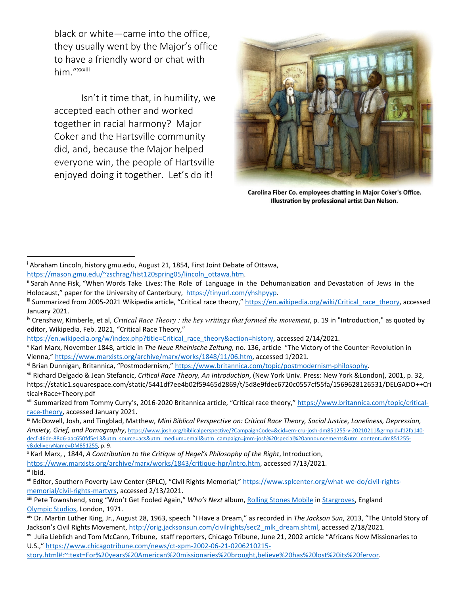black or white—came into the office, they usually went by the Major's office to have a friendly word or chat with him "xxxiii

Isn't it time that, in humility, we accepted each other and worked together in racial harmony? Major Coker and the Hartsville community did, and, because the Major helped everyone win, the people of Hartsville enjoyed doing it together. Let's do it!



Carolina Fiber Co. employees chatting in Major Coker's Office. Illustration by professional artist Dan Nelson.

https://en.wikipedia.org/w/index.php?title=Critical\_race\_theory&action=history, accessed 2/14/2021.

vi Brian Dunnigan, Britannica, "Postmodernism," https://www.britannica.com/topic/postmodernism-philosophy.

viii Summarized from Tommy Curry's, 2016-2020 Britannica article, "Critical race theory," https://www.britannica.com/topic/criticalrace-theory, accessed January 2021.

ix McDowell, Josh, and Tingblad, Matthew, *Mini Biblical Perspective on: Critical Race Theory, Social Justice, Loneliness, Depression, Anxiety, Grief, and Pornography*, https://www.josh.org/biblicalperspective/?CampaignCode=&cid=em-cru-josh-dm851255-v-20210211&grmpid=f12fa140 decf-46de-88d6-aac650fd5e13&utm\_source=acs&utm\_medium=email&utm\_campaign=jmm-josh%20special%20announcements&utm\_content=dm851255 v&deliveryName=DM851255, p. 9.

x Karl Marx, , 1844, *A Contribution to the Critique of Hegel's Philosophy of the Right*, Introduction, https://www.marxists.org/archive/marx/works/1843/critique-hpr/intro.htm, accessed 7/13/2021. xi Ibid.

i Abraham Lincoln, history.gmu.edu, August 21, 1854, First Joint Debate of Ottawa, https://mason.gmu.edu/~zschrag/hist120spring05/lincoln\_ottawa.htm.

ii Sarah Anne Fisk, "When Words Take Lives: The Role of Language in the Dehumanization and Devastation of Jews in the Holocaust," paper for the University of Canterbury, https://tinyurl.com/yhshpyyp.

iii Summarized from 2005-2021 Wikipedia article, "Critical race theory," https://en.wikipedia.org/wiki/Critical race\_theory, accessed January 2021.

iv Crenshaw, Kimberle, et al, *Critical Race Theory : the key writings that formed the movement*, p. 19 in "Introduction," as quoted by editor, Wikipedia, Feb. 2021, "Critical Race Theory,"

v Karl Marx, November 1848, article in *The Neue Rheinische Zeitung,* no. 136, article "The Victory of the Counter-Revolution in Vienna," https://www.marxists.org/archive/marx/works/1848/11/06.htm, accessed 1/2021.

vii Richard Delgado & Jean Stefancic, *Critical Race Theory, An Introduction*, (New York Univ. Press: New York &London), 2001, p. 32, https://static1.squarespace.com/static/5441df7ee4b02f59465d2869/t/5d8e9fdec6720c0557cf55fa/1569628126531/DELGADO++Cri tical+Race+Theory.pdf

xii Editor, Southern Poverty Law Center (SPLC), "Civil Rights Memorial," https://www.splcenter.org/what-we-do/civil-rightsmemorial/civil-rights-martyrs, accessed 2/13/2021.

xiii Pete Townshend, song "Won't Get Fooled Again," *Who's Next* album, Rolling Stones Mobile in Stargroves, England Olympic Studios, London, 1971.

xiv Dr. Martin Luther King, Jr., August 28, 1963, speech "I Have a Dream," as recorded in *The Jackson Sun*, 2013, "The Untold Story of Jackson's Civil Rights Movement, http://orig.jacksonsun.com/civilrights/sec2\_mlk\_dream.shtml, accessed 2/18/2021.

xv Julia Lieblich and Tom McCann, Tribune, staff reporters, Chicago Tribune, June 21, 2002 article "Africans Now Missionaries to U.S.," https://www.chicagotribune.com/news/ct-xpm-2002-06-21-0206210215-

story.html#:~:text=For%20years%20American%20missionaries%20brought,believe%20has%20lost%20its%20fervor.